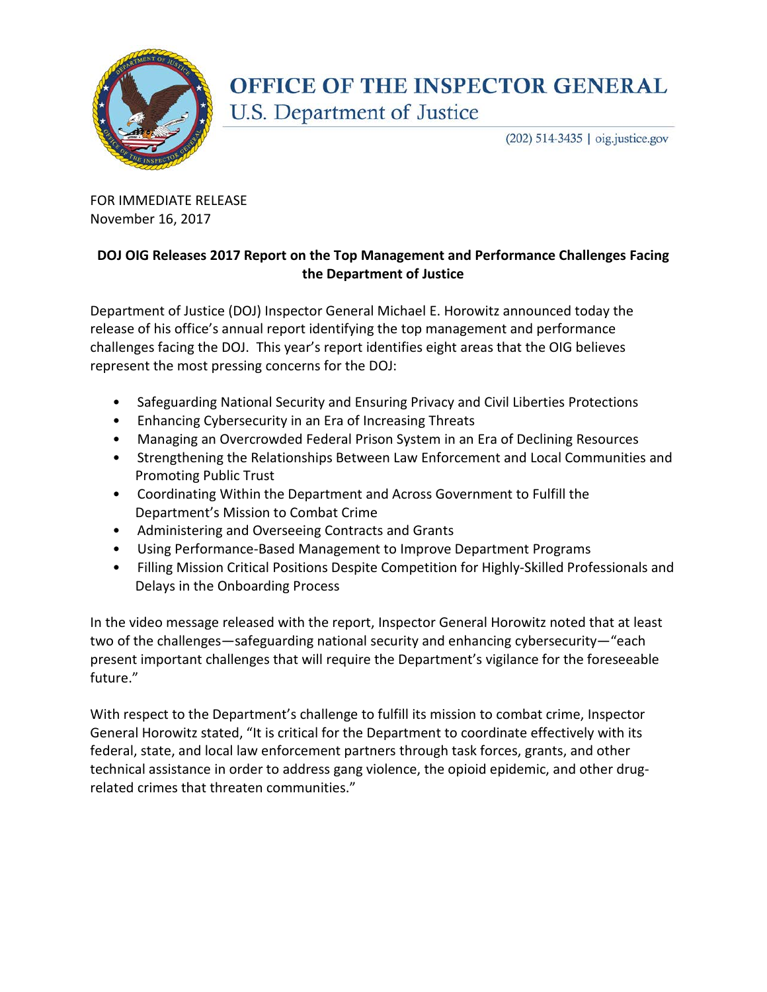

## **OFFICE OF THE INSPECTOR GENERAL** U.S. Department of Justice

(202) 514-3435 | oig.justice.gov

FOR IMMEDIATE RELEASE November 16, 2017

## **DOJ OIG Releases 2017 Report on the Top Management and Performance Challenges Facing the Department of Justice**

Department of Justice (DOJ) Inspector General Michael E. Horowitz announced today the release of his office's annual report identifying the top management and performance challenges facing the DOJ. This year's report identifies eight areas that the OIG believes represent the most pressing concerns for the DOJ:

- Safeguarding National Security and Ensuring Privacy and Civil Liberties Protections
- Enhancing Cybersecurity in an Era of Increasing Threats
- Managing an Overcrowded Federal Prison System in an Era of Declining Resources
- Strengthening the Relationships Between Law Enforcement and Local Communities and Promoting Public Trust
- Coordinating Within the Department and Across Government to Fulfill the Department's Mission to Combat Crime
- Administering and Overseeing Contracts and Grants
- Using Performance-Based Management to Improve Department Programs
- Filling Mission Critical Positions Despite Competition for Highly-Skilled Professionals and Delays in the Onboarding Process

In the video message released with the report, Inspector General Horowitz noted that at least two of the challenges—safeguarding national security and enhancing cybersecurity—"each present important challenges that will require the Department's vigilance for the foreseeable future."

With respect to the Department's challenge to fulfill its mission to combat crime, Inspector General Horowitz stated, "It is critical for the Department to coordinate effectively with its federal, state, and local law enforcement partners through task forces, grants, and other technical assistance in order to address gang violence, the opioid epidemic, and other drugrelated crimes that threaten communities."